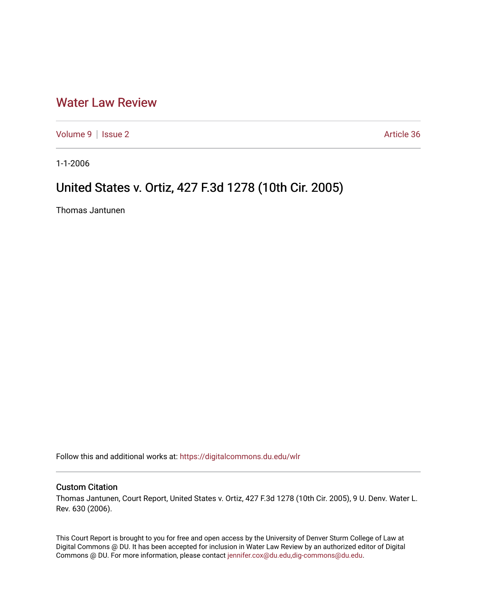# [Water Law Review](https://digitalcommons.du.edu/wlr)

[Volume 9](https://digitalcommons.du.edu/wlr/vol9) | [Issue 2](https://digitalcommons.du.edu/wlr/vol9/iss2) Article 36

1-1-2006

# United States v. Ortiz, 427 F.3d 1278 (10th Cir. 2005)

Thomas Jantunen

Follow this and additional works at: [https://digitalcommons.du.edu/wlr](https://digitalcommons.du.edu/wlr?utm_source=digitalcommons.du.edu%2Fwlr%2Fvol9%2Fiss2%2F36&utm_medium=PDF&utm_campaign=PDFCoverPages) 

## Custom Citation

Thomas Jantunen, Court Report, United States v. Ortiz, 427 F.3d 1278 (10th Cir. 2005), 9 U. Denv. Water L. Rev. 630 (2006).

This Court Report is brought to you for free and open access by the University of Denver Sturm College of Law at Digital Commons @ DU. It has been accepted for inclusion in Water Law Review by an authorized editor of Digital Commons @ DU. For more information, please contact [jennifer.cox@du.edu,dig-commons@du.edu.](mailto:jennifer.cox@du.edu,dig-commons@du.edu)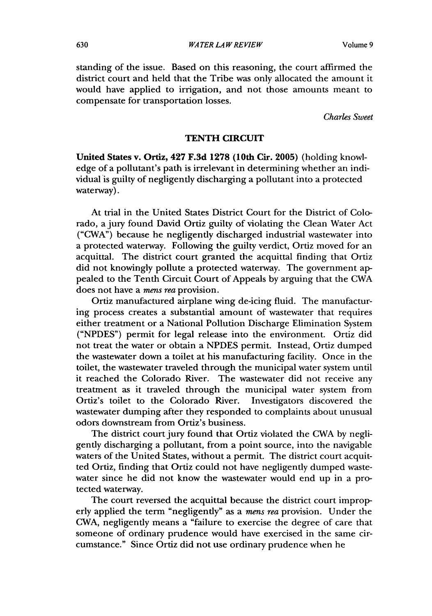**Volume 9**

standing of the issue. Based on this reasoning, the court affirmed the district court and held that the Tribe was only allocated the amount it would have applied to irrigation, and not those amounts meant to compensate for transportation losses.

*Charles Sweet*

#### **TENTH** CIRCUIT

United States v. Ortiz, 427 **F.3d 1278** (10th **Cir. 2005)** (holding knowledge of a pollutant's path is irrelevant in determining whether an individual is guilty of negligently discharging a pollutant into a protected waterway).

At trial in the United States District Court for the District of Colorado, a jury found David Ortiz guilty of violating the Clean Water Act ("CWA") because he negligently discharged industrial wastewater into a protected waterway. Following the guilty verdict, Ortiz moved for an acquittal. The district court granted the acquittal finding that Ortiz did not knowingly pollute a protected waterway. The government appealed to the Tenth Circuit Court of Appeals by arguing that the CWA does not have a *mens rea* provision.

Ortiz manufactured airplane wing de-icing fluid. The manufacturing process creates a substantial amount of wastewater that requires either treatment or a National Pollution Discharge Elimination System ("NPDES") permit for legal release into the environment. Ortiz did not treat the water or obtain a NPDES permit. Instead, Ortiz dumped the wastewater down a toilet at his manufacturing facility. Once in the toilet, the wastewater traveled through the municipal water system until it reached the Colorado River. The wastewater did not receive any treatment as it traveled through the municipal water system from Ortiz's toilet to the Colorado River. Investigators discovered the wastewater dumping after they responded to complaints about unusual odors downstream from Ortiz's business.

The district court jury found that Ortiz violated the CWA by negligently discharging a pollutant, from a point source, into the navigable waters of the United States, without a permit. The district court acquitted Ortiz, finding that Ortiz could not have negligently dumped wastewater since he did not know the wastewater would end up in a protected waterway.

The court reversed the acquittal because the district court improperly applied the term "negligently" as a *mens rea* provision. Under the CWA, negligently means a "failure to exercise the degree of care that someone of ordinary prudence would have exercised in the same circumstance." Since Ortiz did not use ordinary prudence when he